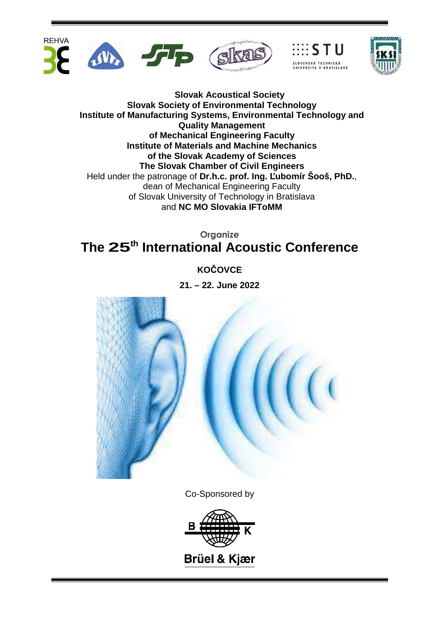



# **Organize The 25th International Acoustic Conference**

**KOČOVCE**

**21. – 22. June 2022**



Co-Sponsored by

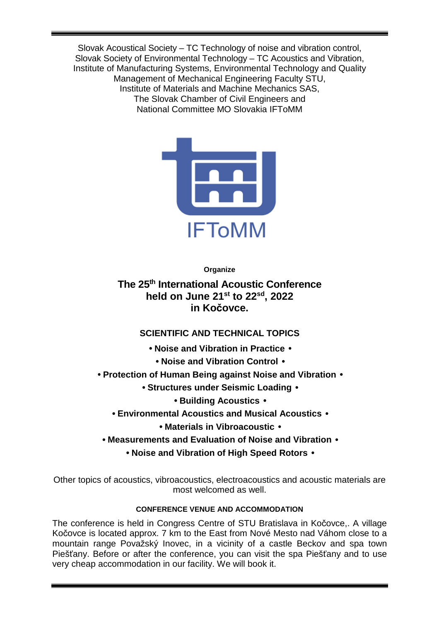Slovak Acoustical Society – TC Technology of noise and vibration control, Slovak Society of Environmental Technology – TC Acoustics and Vibration, Institute of Manufacturing Systems, Environmental Technology and Quality Management of Mechanical Engineering Faculty STU, Institute of Materials and Machine Mechanics SAS, The Slovak Chamber of Civil Engineers and National Committee MO Slovakia IFToMM



**Organize** 

**The 25th International Acoustic Conference held on June 21st to 22sd, 2022 in Kočovce.** 

# **SCIENTIFIC AND TECHNICAL TOPICS**

- • **Noise and Vibration in Practice** 
	- • **Noise and Vibration Control** •
- • **Protection of Human Being against Noise and Vibration** 
	- • **Structures under Seismic Loading** 
		- • **Building Acoustics** •
	- • **Environmental Acoustics and Musical Acoustics** 
		- • **Materials in Vibroacoustic** •
- **Measurements and Evaluation of Noise and Vibration** 
	- **Noise and Vibration of High Speed Rotors** •

Other topics of acoustics, vibroacoustics, electroacoustics and acoustic materials are most welcomed as well.

## **CONFERENCE VENUE AND ACCOMMODATION**

The conference is held in Congress Centre of STU Bratislava in Kočovce,. A village Kočovce is located approx. 7 km to the East from Nové Mesto nad Váhom close to a mountain range Považský Inovec, in a vicinity of a castle Beckov and spa town Piešťany. Before or after the conference, you can visit the spa Piešťany and to use very cheap accommodation in our facility. We will book it.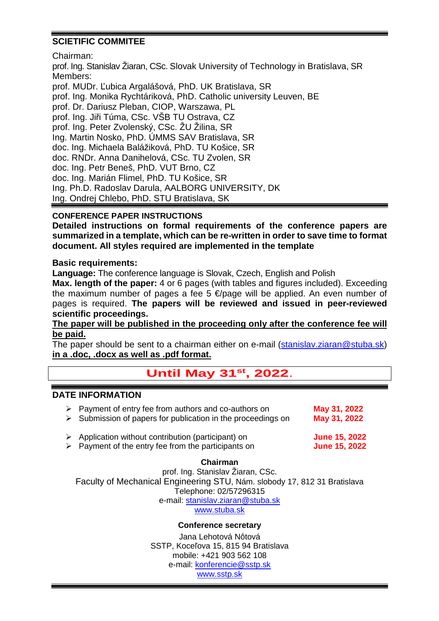# **SCIETIFIC COMMITEE**

Chairman:

prof. Ing. Stanislav Žiaran, CSc. Slovak University of Technology in Bratislava, SR Members: prof. MUDr. Ľubica Argalášová, PhD. UK Bratislava, SR prof. Ing. Monika Rychtáriková, PhD. Catholic university Leuven, BE prof. Dr. Dariusz Pleban, CIOP, Warszawa, PL prof. Ing. Jiři Túma, CSc. VŠB TU Ostrava, CZ prof. Ing. Peter Zvolenský, CSc. ŽU Žilina, SR Ing. Martin Nosko, PhD. ÚMMS SAV Bratislava, SR doc. Ing. Michaela Balážiková, PhD. TU Košice, SR doc. RNDr. Anna Danihelová, CSc. TU Zvolen, SR doc. Ing. Petr Beneš, PhD. VUT Brno, CZ doc. Ing. Marián Flimel, PhD. TU Košice, SR Ing. Ph.D. Radoslav Darula, AALBORG UNIVERSITY, DK Ing. Ondrej Chlebo, PhD. STU Bratislava, SK

## **CONFERENCE PAPER INSTRUCTIONS**

**Detailed instructions on formal requirements of the conference papers are summarized in a template, which can be re-written in order to save time to format document. All styles required are implemented in the template** 

## **Basic requirements:**

**Language:** The conference language is Slovak, Czech, English and Polish

**Max. length of the paper:** 4 or 6 pages (with tables and figures included). Exceeding the maximum number of pages a fee 5  $\epsilon$ /page will be applied. An even number of pages is required. **The papers will be reviewed and issued in peer-reviewed scientific proceedings.** 

**The paper will be published in the proceeding only after the conference fee will be paid.** 

The paper should be sent to a chairman either on e-mail (stanislav.ziaran@stuba.sk) **in a .doc, .docx as well as .pdf format.**

# **Until May 31st, 2022**.

## **DATE INFORMATION**

| $\triangleright$ Payment of entry fee from authors and co-authors on<br>$\triangleright$ Submission of papers for publication in the proceedings on | May 31, 2022<br>May 31, 2022                 |
|-----------------------------------------------------------------------------------------------------------------------------------------------------|----------------------------------------------|
| $\triangleright$ Application without contribution (participant) on<br>$\triangleright$ Payment of the entry fee from the participants on            | <b>June 15, 2022</b><br><b>June 15, 2022</b> |

### **Chairman**

prof. Ing. Stanislav Žiaran, CSc. Faculty of Mechanical Engineering STU, Nám. slobody 17, 812 31 Bratislava Telephone: 02/57296315 e-mail: stanislav.ziaran@stuba.sk www.stuba.sk

### **Conference secretary**

Jana Lehotová Nôtová SSTP, Koceľova 15, 815 94 Bratislava mobile: +421 903 562 108 e-mail: konferencie@sstp.sk www.sstp.sk